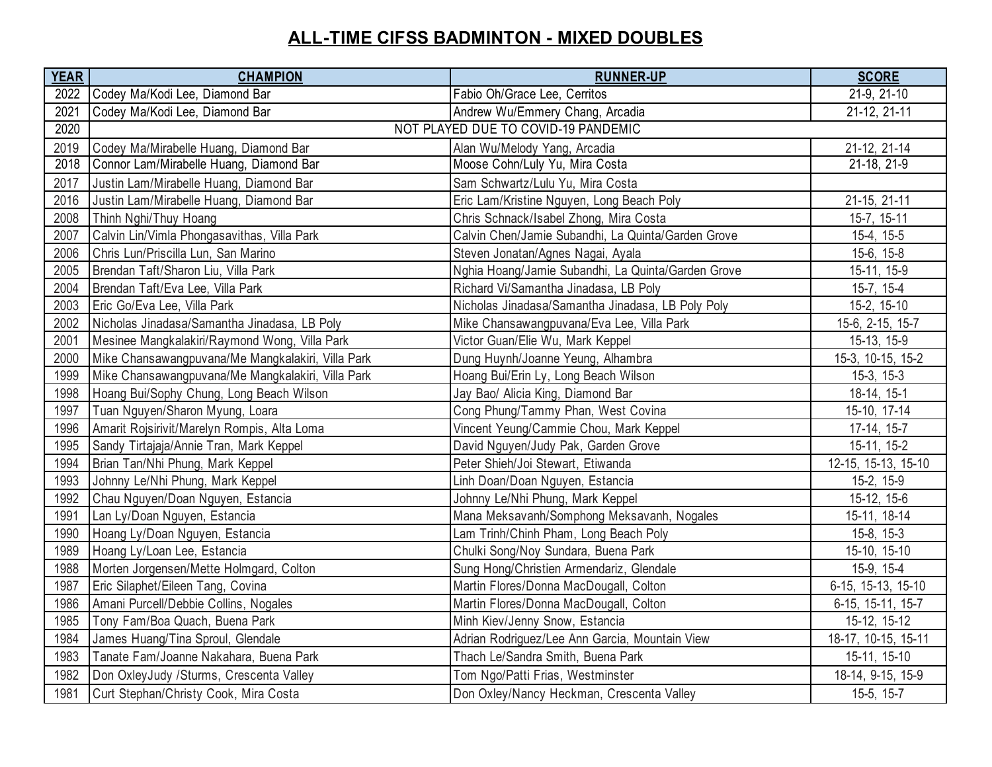## **ALL-TIME CIFSS BADMINTON - MIXED DOUBLES**

| <b>YEAR</b> | <b>CHAMPION</b>                                   | <b>RUNNER-UP</b>                                   | <b>SCORE</b>        |
|-------------|---------------------------------------------------|----------------------------------------------------|---------------------|
| 2022        | Codey Ma/Kodi Lee, Diamond Bar                    | Fabio Oh/Grace Lee, Cerritos                       | 21-9, 21-10         |
| 2021        | Codey Ma/Kodi Lee, Diamond Bar                    | Andrew Wu/Emmery Chang, Arcadia                    | 21-12, 21-11        |
| 2020        | NOT PLAYED DUE TO COVID-19 PANDEMIC               |                                                    |                     |
| 2019        | Codey Ma/Mirabelle Huang, Diamond Bar             | Alan Wu/Melody Yang, Arcadia                       | 21-12, 21-14        |
| 2018        | Connor Lam/Mirabelle Huang, Diamond Bar           | Moose Cohn/Luly Yu, Mira Costa                     | 21-18, 21-9         |
| 2017        | Justin Lam/Mirabelle Huang, Diamond Bar           | Sam Schwartz/Lulu Yu, Mira Costa                   |                     |
| 2016        | Justin Lam/Mirabelle Huang, Diamond Bar           | Eric Lam/Kristine Nguyen, Long Beach Poly          | 21-15, 21-11        |
| 2008        | Thinh Nghi/Thuy Hoang                             | Chris Schnack/Isabel Zhong, Mira Costa             | 15-7, 15-11         |
| 2007        | Calvin Lin/Vimla Phongasavithas, Villa Park       | Calvin Chen/Jamie Subandhi, La Quinta/Garden Grove | 15-4, 15-5          |
| 2006        | Chris Lun/Priscilla Lun, San Marino               | Steven Jonatan/Agnes Nagai, Ayala                  | 15-6, 15-8          |
| 2005        | Brendan Taft/Sharon Liu, Villa Park               | Nghia Hoang/Jamie Subandhi, La Quinta/Garden Grove | 15-11, 15-9         |
| 2004        | Brendan Taft/Eva Lee, Villa Park                  | Richard Vi/Samantha Jinadasa, LB Poly              | 15-7, 15-4          |
| 2003        | Eric Go/Eva Lee, Villa Park                       | Nicholas Jinadasa/Samantha Jinadasa, LB Poly Poly  | 15-2, 15-10         |
| 2002        | Nicholas Jinadasa/Samantha Jinadasa, LB Poly      | Mike Chansawangpuvana/Eva Lee, Villa Park          | 15-6, 2-15, 15-7    |
| 2001        | Mesinee Mangkalakiri/Raymond Wong, Villa Park     | Victor Guan/Elie Wu, Mark Keppel                   | 15-13, 15-9         |
| 2000        | Mike Chansawangpuvana/Me Mangkalakiri, Villa Park | Dung Huynh/Joanne Yeung, Alhambra                  | 15-3, 10-15, 15-2   |
| 1999        | Mike Chansawangpuvana/Me Mangkalakiri, Villa Park | Hoang Bui/Erin Ly, Long Beach Wilson               | $15-3, 15-3$        |
| 1998        | Hoang Bui/Sophy Chung, Long Beach Wilson          | Jay Bao/ Alicia King, Diamond Bar                  | 18-14, 15-1         |
| 1997        | Tuan Nguyen/Sharon Myung, Loara                   | Cong Phung/Tammy Phan, West Covina                 | 15-10, 17-14        |
| 1996        | Amarit Rojsirivit/Marelyn Rompis, Alta Loma       | Vincent Yeung/Cammie Chou, Mark Keppel             | $17-14, 15-7$       |
| 1995        | Sandy Tirtajaja/Annie Tran, Mark Keppel           | David Nguyen/Judy Pak, Garden Grove                | 15-11, 15-2         |
| 1994        | Brian Tan/Nhi Phung, Mark Keppel                  | Peter Shieh/Joi Stewart, Etiwanda                  | 12-15, 15-13, 15-10 |
| 1993        | Johnny Le/Nhi Phung, Mark Keppel                  | Linh Doan/Doan Nguyen, Estancia                    | 15-2, 15-9          |
| 1992        | Chau Nguyen/Doan Nguyen, Estancia                 | Johnny Le/Nhi Phung, Mark Keppel                   | 15-12, 15-6         |
| 1991        | Lan Ly/Doan Nguyen, Estancia                      | Mana Meksavanh/Somphong Meksavanh, Nogales         | 15-11, 18-14        |
| 1990        | Hoang Ly/Doan Nguyen, Estancia                    | Lam Trinh/Chinh Pham, Long Beach Poly              | 15-8, 15-3          |
| 1989        | Hoang Ly/Loan Lee, Estancia                       | Chulki Song/Noy Sundara, Buena Park                | 15-10, 15-10        |
| 1988        | Morten Jorgensen/Mette Holmgard, Colton           | Sung Hong/Christien Armendariz, Glendale           | 15-9, 15-4          |
| 1987        | Eric Silaphet/Eileen Tang, Covina                 | Martin Flores/Donna MacDougall, Colton             | 6-15, 15-13, 15-10  |
| 1986        | Amani Purcell/Debbie Collins, Nogales             | Martin Flores/Donna MacDougall, Colton             | 6-15, 15-11, 15-7   |
| 1985        | Tony Fam/Boa Quach, Buena Park                    | Minh Kiev/Jenny Snow, Estancia                     | 15-12, 15-12        |
| 1984        | James Huang/Tina Sproul, Glendale                 | Adrian Rodriguez/Lee Ann Garcia, Mountain View     | 18-17, 10-15, 15-11 |
| 1983        | Tanate Fam/Joanne Nakahara, Buena Park            | Thach Le/Sandra Smith, Buena Park                  | 15-11, 15-10        |
| 1982        | Don OxleyJudy /Sturms, Crescenta Valley           | Tom Ngo/Patti Frias, Westminster                   | 18-14, 9-15, 15-9   |
| 1981        | Curt Stephan/Christy Cook, Mira Costa             | Don Oxley/Nancy Heckman, Crescenta Valley          | 15-5, 15-7          |